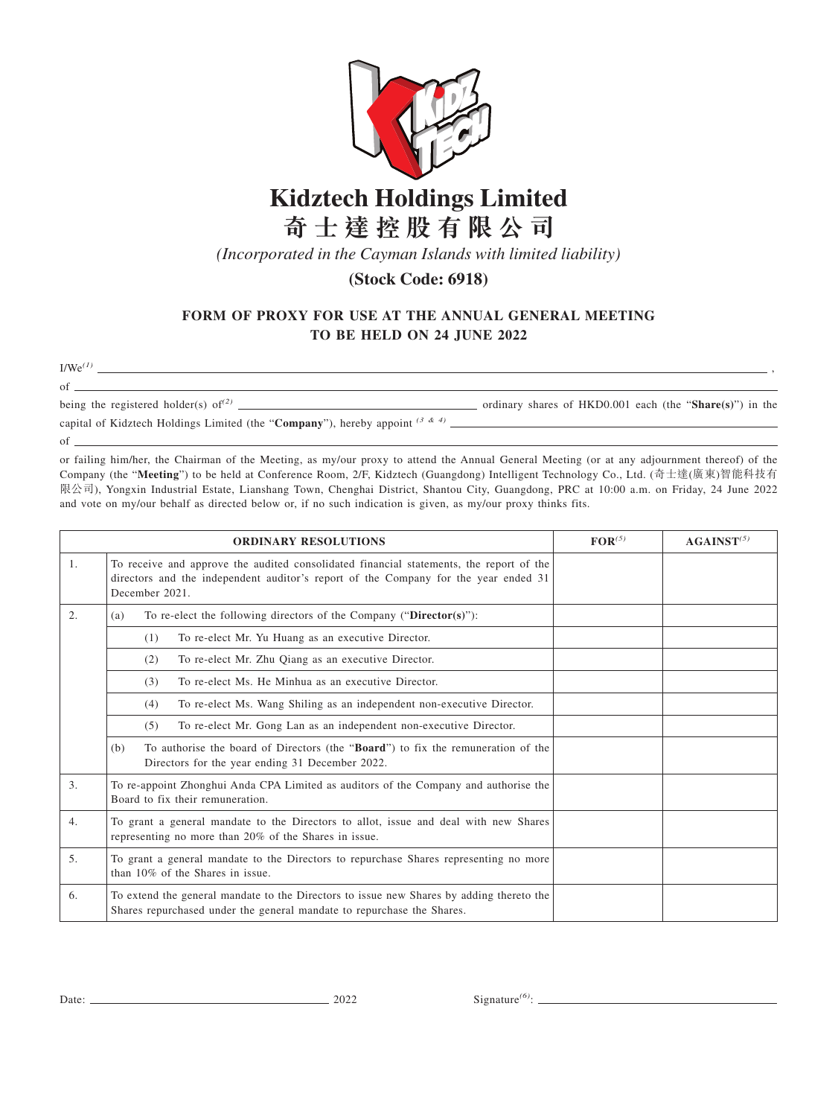

## **Kidztech Holdings Limited 奇 士 達 控 股 有 限 公 司**

*(Incorporated in the Cayman Islands with limited liability)*

## **(Stock Code: 6918)**

## **FORM OF PROXY FOR USE AT THE ANNUAL GENERAL MEETING TO BE HELD ON 24 JUNE 2022**

 $\frac{1}{\text{Wee}}$ <sup>(1)</sup>  $\frac{1}{\text{Wee}}$ 

of  $\frac{1}{\text{being the registered holder}(s) of}^{(2)}$ condinary shares of HKD0.001 each (the "**Share(s)**") in the capital of Kidztech Holdings Limited (the "**Company**"), hereby appoint *(3 & 4)* of

<u> 1989 - Johann Barn, mars ann an t-Amhain Aonaich an t-Aonaich an t-Aonaich an t-Aonaich an t-Aonaich an t-Aon</u>

or failing him/her, the Chairman of the Meeting, as my/our proxy to attend the Annual General Meeting (or at any adjournment thereof) of the Company (the "**Meeting**") to be held at Conference Room, 2/F, Kidztech (Guangdong) Intelligent Technology Co., Ltd. (奇士達(廣東)智能科技有 限公司), Yongxin Industrial Estate, Lianshang Town, Chenghai District, Shantou City, Guangdong, PRC at 10:00 a.m. on Friday, 24 June 2022 and vote on my/our behalf as directed below or, if no such indication is given, as my/our proxy thinks fits.

|                  | <b>ORDINARY RESOLUTIONS</b>                                                                                                                                                                      | $FOR^{(5)}$ | AGAINST <sup>(5)</sup> |
|------------------|--------------------------------------------------------------------------------------------------------------------------------------------------------------------------------------------------|-------------|------------------------|
| 1.               | To receive and approve the audited consolidated financial statements, the report of the<br>directors and the independent auditor's report of the Company for the year ended 31<br>December 2021. |             |                        |
| 2.               | To re-elect the following directors of the Company (" $\text{Directory}(s)$ "):<br>(a)                                                                                                           |             |                        |
|                  | To re-elect Mr. Yu Huang as an executive Director.<br>(1)                                                                                                                                        |             |                        |
|                  | To re-elect Mr. Zhu Qiang as an executive Director.<br>(2)                                                                                                                                       |             |                        |
|                  | To re-elect Ms. He Minhua as an executive Director.<br>(3)                                                                                                                                       |             |                        |
|                  | To re-elect Ms. Wang Shiling as an independent non-executive Director.<br>(4)                                                                                                                    |             |                        |
|                  | To re-elect Mr. Gong Lan as an independent non-executive Director.<br>(5)                                                                                                                        |             |                        |
|                  | To authorise the board of Directors (the "Board") to fix the remuneration of the<br>(b)<br>Directors for the year ending 31 December 2022.                                                       |             |                        |
| $\mathfrak{Z}$ . | To re-appoint Zhonghui Anda CPA Limited as auditors of the Company and authorise the<br>Board to fix their remuneration.                                                                         |             |                        |
| 4.               | To grant a general mandate to the Directors to allot, issue and deal with new Shares<br>representing no more than 20% of the Shares in issue.                                                    |             |                        |
| 5.               | To grant a general mandate to the Directors to repurchase Shares representing no more<br>than 10% of the Shares in issue.                                                                        |             |                        |
| 6.               | To extend the general mandate to the Directors to issue new Shares by adding thereto the<br>Shares repurchased under the general mandate to repurchase the Shares.                               |             |                        |